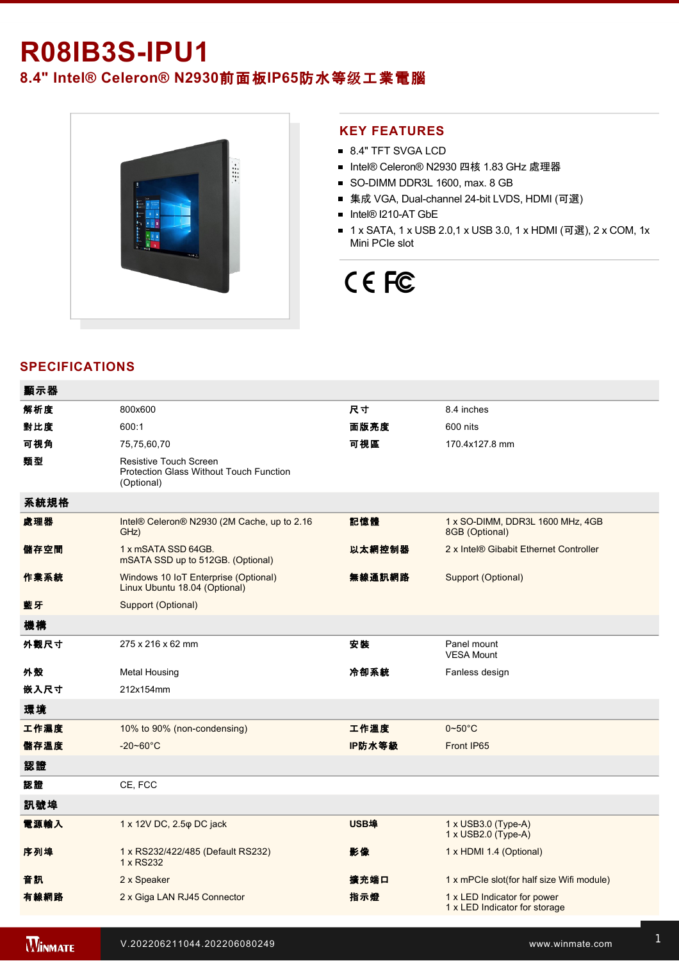# **R08IB3SIPU1**

**8.4" Intel® Celeron® N2930**前面板**IP65**防水等级工業電腦



### **KEY FEATURES**

- 8.4" TFT SVGA LCD
- Intel® Celeron® N2930 四核 1.83 GHz 處理器
- SO-DIMM DDR3L 1600, max. 8 GB
- 集成 VGA, Dual-channel 24-bit LVDS, HDMI (可選)
- Intel® I210-AT GbE
- 1 x SATA, 1 x USB 2.0,1 x USB 3.0, 1 x HDMI (可選), 2 x COM, 1x Mini PCIe slot

# CE FC

# **SPECIFICATIONS**

| 顯示器  |                                                                                               |             |                                                              |
|------|-----------------------------------------------------------------------------------------------|-------------|--------------------------------------------------------------|
| 解析度  | 800x600                                                                                       | 尺寸          | 8.4 inches                                                   |
| 對比度  | 600:1                                                                                         | 面版亮度        | 600 nits                                                     |
| 可視角  | 75,75,60,70                                                                                   | 可視區         | 170.4x127.8 mm                                               |
| 類型   | <b>Resistive Touch Screen</b><br><b>Protection Glass Without Touch Function</b><br>(Optional) |             |                                                              |
| 系統規格 |                                                                                               |             |                                                              |
| 處理器  | Intel® Celeron® N2930 (2M Cache, up to 2.16<br>GHz)                                           | 記憶體         | 1 x SO-DIMM, DDR3L 1600 MHz, 4GB<br>8GB (Optional)           |
| 儲存空間 | 1 x mSATA SSD 64GB.<br>mSATA SSD up to 512GB. (Optional)                                      | 以太網控制器      | 2 x Intel® Gibabit Ethernet Controller                       |
| 作業系統 | Windows 10 IoT Enterprise (Optional)<br>Linux Ubuntu 18.04 (Optional)                         | 無線通訊網路      | Support (Optional)                                           |
| 藍牙   | Support (Optional)                                                                            |             |                                                              |
| 機構   |                                                                                               |             |                                                              |
| 外觀尺寸 | 275 x 216 x 62 mm                                                                             | 安装          | Panel mount<br><b>VESA Mount</b>                             |
| 外殼   | <b>Metal Housing</b>                                                                          | 冷卻系統        | Fanless design                                               |
| 嵌入尺寸 | 212x154mm                                                                                     |             |                                                              |
| 環境   |                                                                                               |             |                                                              |
| 工作濕度 | 10% to 90% (non-condensing)                                                                   | 工作溫度        | $0\nthicksim50^{\circ}$ C                                    |
| 儲存溫度 | $-20 - 60^{\circ}C$                                                                           | IP防水等級      | Front IP65                                                   |
| 認證   |                                                                                               |             |                                                              |
| 認證   | CE, FCC                                                                                       |             |                                                              |
| 訊號埠  |                                                                                               |             |                                                              |
| 電源輸入 | 1 x 12V DC, 2.5 $\varphi$ DC jack                                                             | <b>USB埠</b> | 1 x USB3.0 (Type-A)<br>1 x USB2.0 (Type-A)                   |
| 序列埠  | 1 x RS232/422/485 (Default RS232)<br>1 x RS232                                                | 影像          | 1 x HDMI 1.4 (Optional)                                      |
| 音訊   | 2 x Speaker                                                                                   | 擴充端口        | 1 x mPCle slot(for half size Wifi module)                    |
| 有線網路 | 2 x Giga LAN RJ45 Connector                                                                   | 指示燈         | 1 x LED Indicator for power<br>1 x LED Indicator for storage |
|      |                                                                                               |             |                                                              |

**WINMATE**